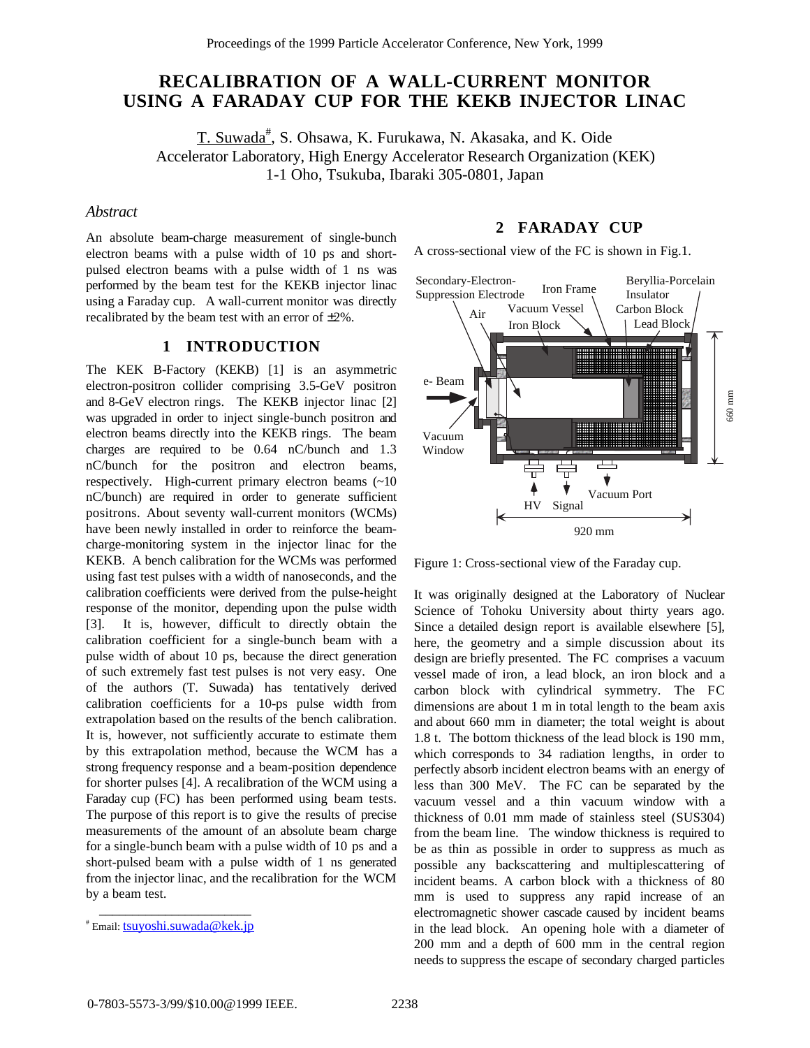# **RECALIBRATION OF A WALL-CURRENT MONITOR USING A FARADAY CUP FOR THE KEKB INJECTOR LINAC**

<u>T. Suwada<sup>#</sup>,</u> S. Ohsawa, K. Furukawa, N. Akasaka, and K. Oide Accelerator Laboratory, High Energy Accelerator Research Organization (KEK) 1-1 Oho, Tsukuba, Ibaraki 305-0801, Japan

# *Abstract*

An absolute beam-charge measurement of single-bunch electron beams with a pulse width of 10 ps and shortpulsed electron beams with a pulse width of 1 ns was performed by the beam test for the KEKB injector linac using a Faraday cup. A wall-current monitor was directly recalibrated by the beam test with an error of ±2%.

# **1 INTRODUCTION**

The KEK B-Factory (KEKB) [1] is an asymmetric electron-positron collider comprising 3.5-GeV positron and 8-GeV electron rings. The KEKB injector linac [2] was upgraded in order to inject single-bunch positron and electron beams directly into the KEKB rings. The beam charges are required to be 0.64 nC/bunch and 1.3 nC/bunch for the positron and electron beams, respectively. High-current primary electron beams (~10 nC/bunch) are required in order to generate sufficient positrons. About seventy wall-current monitors (WCMs) have been newly installed in order to reinforce the beamcharge-monitoring system in the injector linac for the KEKB. A bench calibration for the WCMs was performed using fast test pulses with a width of nanoseconds, and the calibration coefficients were derived from the pulse-height response of the monitor, depending upon the pulse width [3]. It is, however, difficult to directly obtain the calibration coefficient for a single-bunch beam with a pulse width of about 10 ps, because the direct generation of such extremely fast test pulses is not very easy. One of the authors (T. Suwada) has tentatively derived calibration coefficients for a 10-ps pulse width from extrapolation based on the results of the bench calibration. It is, however, not sufficiently accurate to estimate them by this extrapolation method, because the WCM has a strong frequency response and a beam-position dependence for shorter pulses [4]. A recalibration of the WCM using a Faraday cup (FC) has been performed using beam tests. The purpose of this report is to give the results of precise measurements of the amount of an absolute beam charge for a single-bunch beam with a pulse width of 10 ps and a short-pulsed beam with a pulse width of 1 ns generated from the injector linac, and the recalibration for the WCM by a beam test.

# **2 FARADAY CUP**

A cross-sectional view of the FC is shown in Fig.1.



Figure 1: Cross-sectional view of the Faraday cup.

It was originally designed at the Laboratory of Nuclear Science of Tohoku University about thirty years ago. Since a detailed design report is available elsewhere [5], here, the geometry and a simple discussion about its design are briefly presented. The FC comprises a vacuum vessel made of iron, a lead block, an iron block and a carbon block with cylindrical symmetry. The FC dimensions are about 1 m in total length to the beam axis and about 660 mm in diameter; the total weight is about 1.8 t. The bottom thickness of the lead block is 190 mm, which corresponds to 34 radiation lengths, in order to perfectly absorb incident electron beams with an energy of less than 300 MeV. The FC can be separated by the vacuum vessel and a thin vacuum window with a thickness of 0.01 mm made of stainless steel (SUS304) from the beam line. The window thickness is required to be as thin as possible in order to suppress as much as possible any backscattering and multiplescattering of incident beams. A carbon block with a thickness of 80 mm is used to suppress any rapid increase of an electromagnetic shower cascade caused by incident beams in the lead block. An opening hole with a diameter of 200 mm and a depth of 600 mm in the central region needs to suppress the escape of secondary charged particles

\_\_\_\_\_\_\_\_\_\_\_\_\_\_\_\_\_\_\_\_\_\_\_ # Email: <u>tsuyoshi.suwada@kek.jp</u>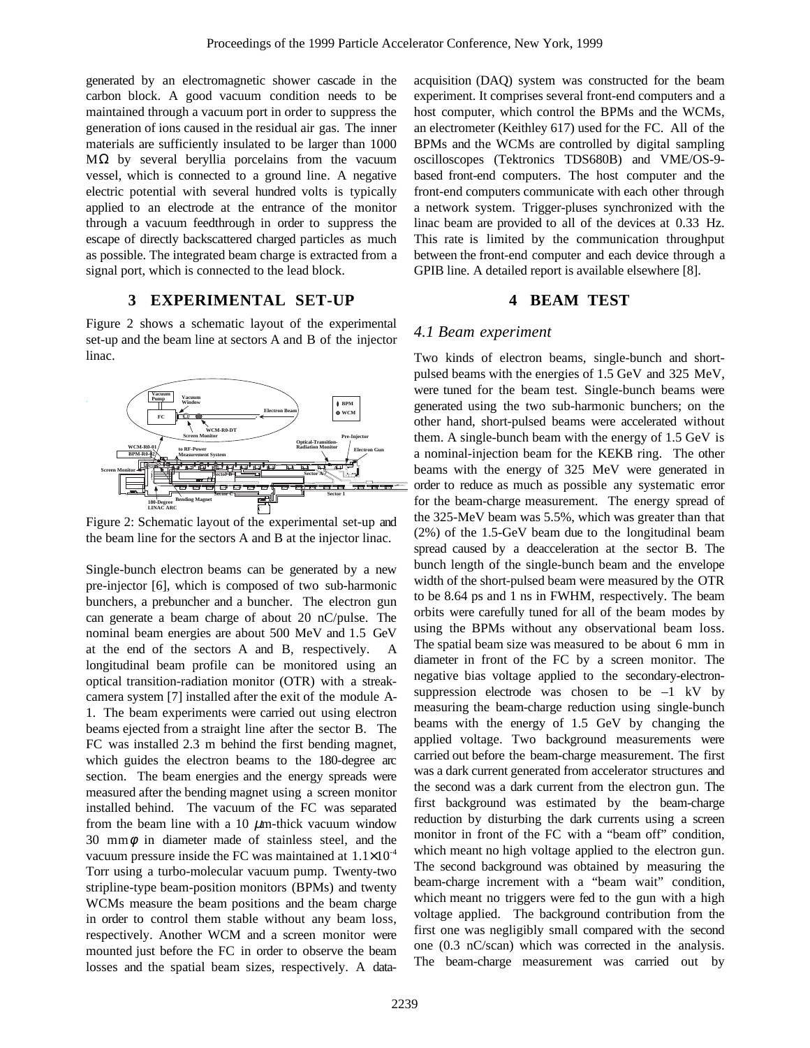generated by an electromagnetic shower cascade in the carbon block. A good vacuum condition needs to be maintained through a vacuum port in order to suppress the generation of ions caused in the residual air gas. The inner materials are sufficiently insulated to be larger than 1000  $MΩ$  by several beryllia porcelains from the vacuum vessel, which is connected to a ground line. A negative electric potential with several hundred volts is typically applied to an electrode at the entrance of the monitor through a vacuum feedthrough in order to suppress the escape of directly backscattered charged particles as much as possible. The integrated beam charge is extracted from a signal port, which is connected to the lead block.

#### **3 EXPERIMENTAL SET-UP**

Figure 2 shows a schematic layout of the experimental set-up and the beam line at sectors A and B of the injector linac.



Figure 2: Schematic layout of the experimental set-up and the beam line for the sectors A and B at the injector linac.

Single-bunch electron beams can be generated by a new pre-injector [6], which is composed of two sub-harmonic bunchers, a prebuncher and a buncher. The electron gun can generate a beam charge of about 20 nC/pulse. The nominal beam energies are about 500 MeV and 1.5 GeV at the end of the sectors A and B, respectively. A longitudinal beam profile can be monitored using an optical transition-radiation monitor (OTR) with a streakcamera system [7] installed after the exit of the module A-1. The beam experiments were carried out using electron beams ejected from a straight line after the sector B. The FC was installed 2.3 m behind the first bending magnet, which guides the electron beams to the 180-degree arc section. The beam energies and the energy spreads were measured after the bending magnet using a screen monitor installed behind. The vacuum of the FC was separated from the beam line with a 10  $\mu$ m-thick vacuum window 30 mm $\phi$  in diameter made of stainless steel, and the vacuum pressure inside the FC was maintained at  $1.1 \times 10^{-4}$ Torr using a turbo-molecular vacuum pump. Twenty-two stripline-type beam-position monitors (BPMs) and twenty WCMs measure the beam positions and the beam charge in order to control them stable without any beam loss, respectively. Another WCM and a screen monitor were mounted just before the FC in order to observe the beam losses and the spatial beam sizes, respectively. A dataacquisition (DAQ) system was constructed for the beam experiment. It comprises several front-end computers and a host computer, which control the BPMs and the WCMs, an electrometer (Keithley 617) used for the FC. All of the BPMs and the WCMs are controlled by digital sampling oscilloscopes (Tektronics TDS680B) and VME/OS-9 based front-end computers. The host computer and the front-end computers communicate with each other through a network system. Trigger-pluses synchronized with the linac beam are provided to all of the devices at 0.33 Hz. This rate is limited by the communication throughput between the front-end computer and each device through a GPIB line. A detailed report is available elsewhere [8].

#### **4 BEAM TEST**

# *4.1 Beam experiment*

Two kinds of electron beams, single-bunch and shortpulsed beams with the energies of 1.5 GeV and 325 MeV, were tuned for the beam test. Single-bunch beams were generated using the two sub-harmonic bunchers; on the other hand, short-pulsed beams were accelerated without them. A single-bunch beam with the energy of 1.5 GeV is a nominal-injection beam for the KEKB ring. The other beams with the energy of 325 MeV were generated in order to reduce as much as possible any systematic error for the beam-charge measurement. The energy spread of the 325-MeV beam was 5.5%, which was greater than that (2%) of the 1.5-GeV beam due to the longitudinal beam spread caused by a deacceleration at the sector B. The bunch length of the single-bunch beam and the envelope width of the short-pulsed beam were measured by the OTR to be 8.64 ps and 1 ns in FWHM, respectively. The beam orbits were carefully tuned for all of the beam modes by using the BPMs without any observational beam loss. The spatial beam size was measured to be about 6 mm in diameter in front of the FC by a screen monitor. The negative bias voltage applied to the secondary-electronsuppression electrode was chosen to be  $-1$  kV by measuring the beam-charge reduction using single-bunch beams with the energy of 1.5 GeV by changing the applied voltage. Two background measurements were carried out before the beam-charge measurement. The first was a dark current generated from accelerator structures and the second was a dark current from the electron gun. The first background was estimated by the beam-charge reduction by disturbing the dark currents using a screen monitor in front of the FC with a "beam off" condition, which meant no high voltage applied to the electron gun. The second background was obtained by measuring the beam-charge increment with a "beam wait" condition, which meant no triggers were fed to the gun with a high voltage applied. The background contribution from the first one was negligibly small compared with the second one (0.3 nC/scan) which was corrected in the analysis. The beam-charge measurement was carried out by